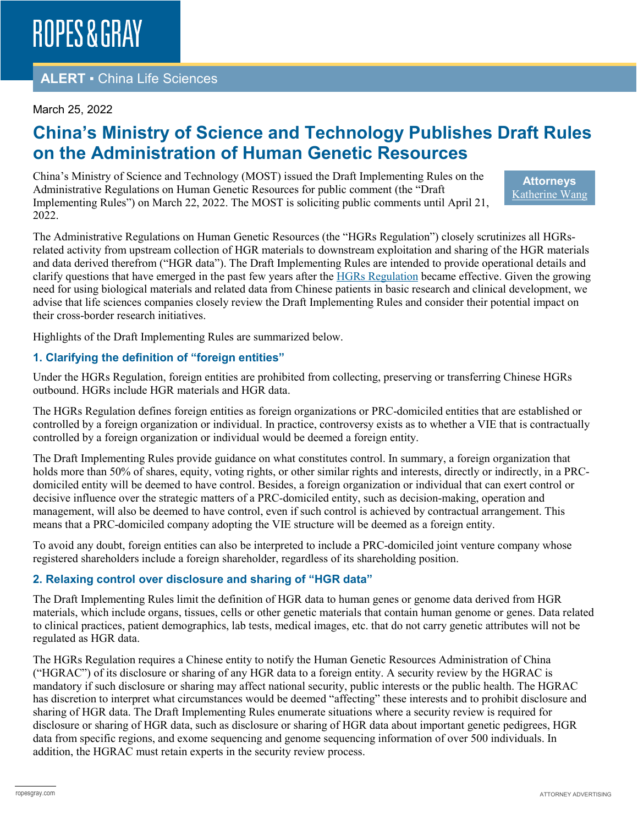# **ALERT** ▪ China Life Sciences

#### March 25, 2022

# **China's Ministry of Science and Technology Publishes Draft Rules on the Administration of Human Genetic Resources**

China's Ministry of Science and Technology (MOST) issued the Draft Implementing Rules on the Administrative Regulations on Human Genetic Resources for public comment (the "Draft Implementing Rules") on March 22, 2022. The MOST is soliciting public comments until April 21, 2022.

**Attorneys** [Katherine Wang](https://www.ropesgray.com/en/biographies/w/katherine-wang)

The Administrative Regulations on Human Genetic Resources (the "HGRs Regulation") closely scrutinizes all HGRsrelated activity from upstream collection of HGR materials to downstream exploitation and sharing of the HGR materials and data derived therefrom ("HGR data"). The Draft Implementing Rules are intended to provide operational details and clarify questions that have emerged in the past few years after the [HGRs Regulation](https://www.ropesgray.com/en/newsroom/alerts/2019/06/Chinas-State-Council-Publishes-New-Regulations-on-the-Management-of-Human-Genetic-Resources) became effective. Given the growing need for using biological materials and related data from Chinese patients in basic research and clinical development, we advise that life sciences companies closely review the Draft Implementing Rules and consider their potential impact on their cross-border research initiatives.

Highlights of the Draft Implementing Rules are summarized below.

#### **1. Clarifying the definition of "foreign entities"**

Under the HGRs Regulation, foreign entities are prohibited from collecting, preserving or transferring Chinese HGRs outbound. HGRs include HGR materials and HGR data.

The HGRs Regulation defines foreign entities as foreign organizations or PRC-domiciled entities that are established or controlled by a foreign organization or individual. In practice, controversy exists as to whether a VIE that is contractually controlled by a foreign organization or individual would be deemed a foreign entity.

The Draft Implementing Rules provide guidance on what constitutes control. In summary, a foreign organization that holds more than 50% of shares, equity, voting rights, or other similar rights and interests, directly or indirectly, in a PRCdomiciled entity will be deemed to have control. Besides, a foreign organization or individual that can exert control or decisive influence over the strategic matters of a PRC-domiciled entity, such as decision-making, operation and management, will also be deemed to have control, even if such control is achieved by contractual arrangement. This means that a PRC-domiciled company adopting the VIE structure will be deemed as a foreign entity.

To avoid any doubt, foreign entities can also be interpreted to include a PRC-domiciled joint venture company whose registered shareholders include a foreign shareholder, regardless of its shareholding position.

#### **2. Relaxing control over disclosure and sharing of "HGR data"**

The Draft Implementing Rules limit the definition of HGR data to human genes or genome data derived from HGR materials, which include organs, tissues, cells or other genetic materials that contain human genome or genes. Data related to clinical practices, patient demographics, lab tests, medical images, etc. that do not carry genetic attributes will not be regulated as HGR data.

The HGRs Regulation requires a Chinese entity to notify the Human Genetic Resources Administration of China ("HGRAC") of its disclosure or sharing of any HGR data to a foreign entity. A security review by the HGRAC is mandatory if such disclosure or sharing may affect national security, public interests or the public health. The HGRAC has discretion to interpret what circumstances would be deemed "affecting" these interests and to prohibit disclosure and sharing of HGR data. The Draft Implementing Rules enumerate situations where a security review is required for disclosure or sharing of HGR data, such as disclosure or sharing of HGR data about important genetic pedigrees, HGR data from specific regions, and exome sequencing and genome sequencing information of over 500 individuals. In addition, the HGRAC must retain experts in the security review process.